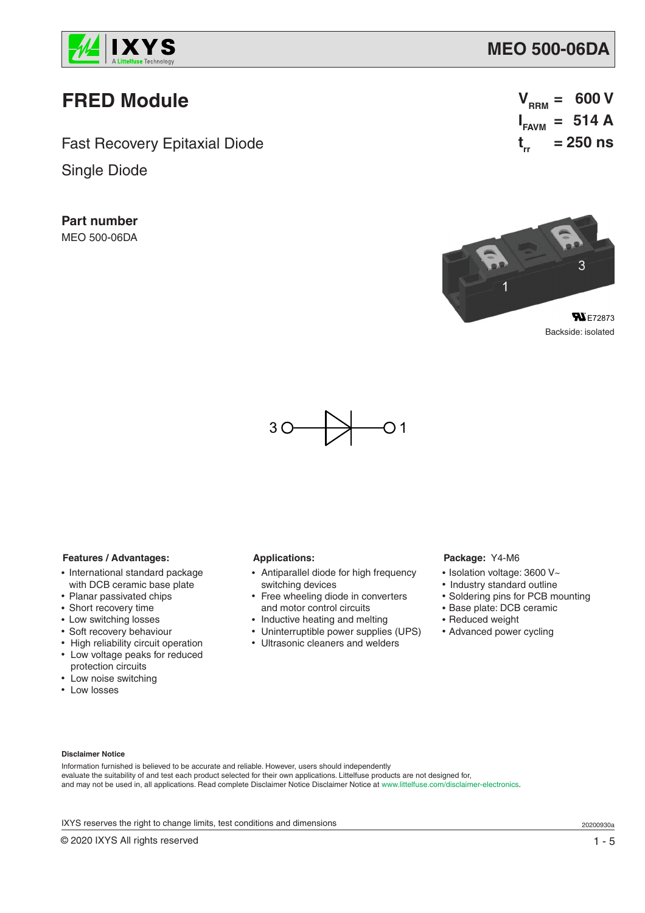

# **FRED Module**

Fast Recovery Epitaxial Diode

Single Diode

**Part number** MEO 500-06DA

 $V_{RRM} = 600 V$  $I_{FAVM}$  = 514 A **t rr = 250 ns**



Backside: isolated



### **Features / Advantages:**

- International standard package with DCB ceramic base plate
- Planar passivated chips
- Short recovery time
- Low switching losses
- Soft recovery behaviour
- High reliability circuit operation • Low voltage peaks for reduced
- protection circuits • Low noise switching
- Low losses

### **Applications:**

- Antiparallel diode for high frequency switching devices
- Free wheeling diode in converters and motor control circuits
- Inductive heating and melting
- Uninterruptible power supplies (UPS)
- Ultrasonic cleaners and welders

#### **Package:** Y4-M6

- Isolation voltage: 3600 V~
- Industry standard outline
- Soldering pins for PCB mounting
- Base plate: DCB ceramic
- Reduced weight
- Advanced power cycling

#### **Disclaimer Notice**

Information furnished is believed to be accurate and reliable. However, users should independently evaluate the suitability of and test each product selected for their own applications. Littelfuse products are not designed for, and may not be used in, all applications. Read complete Disclaimer Notice Disclaimer Notice at www.littelfuse.com/disclaimer-electronics.

IXYS reserves the right to change limits, test conditions and dimensions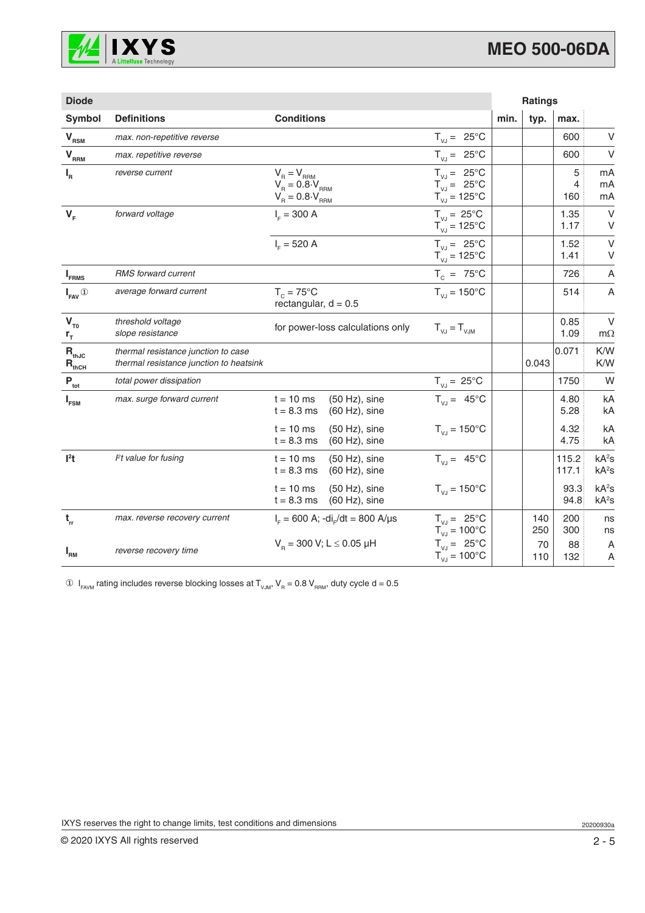

| <b>Diode</b>                                                       |                                                                                |                                                                                                                                                                                                                               |                                                                                    |      | <b>Ratings</b> |                            |                                        |
|--------------------------------------------------------------------|--------------------------------------------------------------------------------|-------------------------------------------------------------------------------------------------------------------------------------------------------------------------------------------------------------------------------|------------------------------------------------------------------------------------|------|----------------|----------------------------|----------------------------------------|
| Symbol                                                             | <b>Definitions</b>                                                             | <b>Conditions</b>                                                                                                                                                                                                             |                                                                                    | min. | typ.           | max.                       |                                        |
| V <sub>RSM</sub>                                                   | max. non-repetitive reverse                                                    |                                                                                                                                                                                                                               | $T_{V,I} = 25^{\circ}C$                                                            |      |                | 600                        | V                                      |
| $\mathbf{V}_{\text{R}_{\underline{\text{R}}\underline{\text{M}}}}$ | max. repetitive reverse                                                        |                                                                                                                                                                                                                               | $T_{V,I} = 25^{\circ}C$                                                            |      |                | 600                        | $\vee$                                 |
| $I_R$                                                              | reverse current                                                                | $\begin{array}{l} \mathsf{V}_{_{\mathsf{R}}}= \mathsf{V}_{_{\mathsf{RRM}}} \\ \mathsf{V}_{_{\mathsf{R}}}=0.8\cdot\mathsf{V}_{_{\mathsf{RRM}}} \\ \mathsf{V}_{_{\mathsf{R}}}=0.8\cdot\mathsf{V}_{_{\mathsf{RRM}}} \end{array}$ | $T_{VJ} = 25^{\circ}C$<br>$T_{VJ} = 25^{\circ}C$<br>$T_{\text{VJ}} = 125^{\circ}C$ |      |                | 5<br>$\overline{4}$<br>160 | mA<br>mA<br>mA                         |
| $V_F$                                                              | forward voltage                                                                | $I_{E} = 300 A$                                                                                                                                                                                                               | $T_{V,J} = 25^{\circ}C$<br>$T_{VJ} = 125^{\circ}C$                                 |      |                | 1.35<br>1.17               | $\vee$<br>V                            |
|                                                                    |                                                                                | $I_c = 520 A$                                                                                                                                                                                                                 | $T_{V1} = 25^{\circ}C$<br>$T_{V,I} = 125^{\circ}C$                                 |      |                | 1.52<br>1.41               | $\vee$<br>V                            |
| $I_{FRMS}$                                                         | <b>RMS</b> forward current                                                     |                                                                                                                                                                                                                               | $T_c = 75^{\circ}$ C                                                               |      |                | 726                        | A                                      |
| $I_{\text{FAV}}$ <sup>①</sup>                                      | average forward current                                                        | $T_c = 75^{\circ}$ C<br>rectangular, $d = 0.5$                                                                                                                                                                                | $T_{V,I} = 150^{\circ}C$                                                           |      |                | 514                        | $\overline{A}$                         |
| $V_{T0}$<br>$r_{\tau}$                                             | threshold voltage<br>slope resistance                                          | for power-loss calculations only                                                                                                                                                                                              | $T_{V,I} = T_{VJM}$                                                                |      |                | 0.85<br>1.09               | $\vee$<br>$m\Omega$                    |
| $\mathbf{R}_{\text{thJC}}$<br>$R_{thCH}$                           | thermal resistance junction to case<br>thermal resistance junction to heatsink |                                                                                                                                                                                                                               |                                                                                    |      | 0.043          | 0.071                      | K/W<br>K/W                             |
| $P_{\rm tot}$                                                      | total power dissipation                                                        |                                                                                                                                                                                                                               | $T_{V,J} = 25^{\circ}C$                                                            |      |                | 1750                       | W                                      |
| $I_{FSM}$                                                          | max. surge forward current                                                     | $(50 Hz)$ , sine<br>$t = 10$ ms<br>$t = 8.3$ ms<br>$(60 Hz)$ , sine                                                                                                                                                           | $T_{V,J} = 45^{\circ}C$                                                            |      |                | 4.80<br>5.28               | kA<br>kA                               |
|                                                                    |                                                                                | $t = 10$ ms<br>$(50 Hz)$ , sine<br>$t = 8.3$ ms<br>$(60 Hz)$ , sine                                                                                                                                                           | $T_{V1} = 150^{\circ}C$                                                            |      |                | 4.32<br>4.75               | kA<br>kA                               |
| $l2$ t                                                             | $Pt$ value for fusing                                                          | $t = 10$ ms<br>$(50 Hz)$ , sine<br>$t = 8.3$ ms<br>$(60 Hz)$ , sine                                                                                                                                                           | $T_{V,J} = 45^{\circ}C$                                                            |      |                | 115.2<br>117.1             | kA <sup>2</sup> S<br>kA <sup>2</sup> S |
|                                                                    |                                                                                | $t = 10$ ms<br>$(50 Hz)$ , sine<br>$t = 8.3$ ms<br>$(60 Hz)$ , sine                                                                                                                                                           | $T_{VJ} = 150^{\circ}C$                                                            |      |                | 93.3<br>94.8               | kA <sup>2</sup> S<br>kA <sup>2</sup> S |
| $t_{rr}$                                                           | max. reverse recovery current                                                  | $I_{F} = 600$ A; -di <sub>r</sub> /dt = 800 A/µs                                                                                                                                                                              | $T_{V,I} = 25^{\circ}C$<br>$T_{\text{VJ}} = 100^{\circ}C$                          |      | 140<br>250     | 200<br>300                 | ns<br>ns                               |
| $I_{\rm RM}$                                                       | reverse recovery time                                                          | $V_B$ = 300 V; L $\leq$ 0.05 µH                                                                                                                                                                                               | $T_{V,J} = 25^{\circ}C$<br>$T_{VJ} = 100^{\circ}C$                                 |      | 70<br>110      | 88<br>132                  | A<br>A                                 |

 $\circledA$   $\mathsf{I}_{\mathsf{FAVM}}$  rating includes reverse blocking losses at  $\mathsf{T}_{\mathsf{VJM}}, \mathsf{V}_{\mathsf{R}} = 0.8 \mathsf{V}_{\mathsf{RRM}},$  duty cycle d = 0.5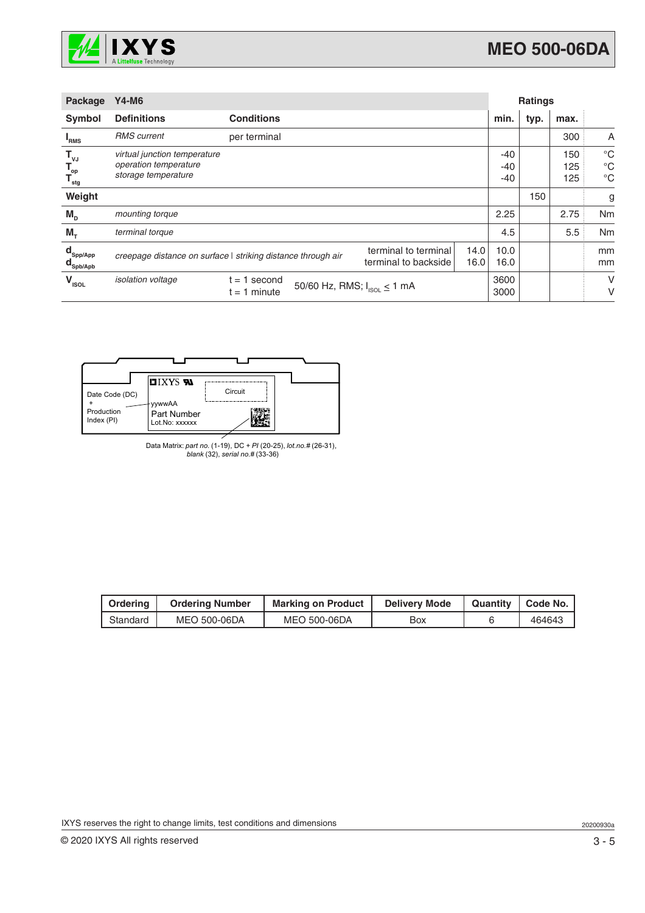

| <b>Package</b>                                                     | <b>Y4-M6</b>                                                                 |                                                              |                                              | <b>Ratings</b> |                     |      |                   |                                           |
|--------------------------------------------------------------------|------------------------------------------------------------------------------|--------------------------------------------------------------|----------------------------------------------|----------------|---------------------|------|-------------------|-------------------------------------------|
| Symbol                                                             | <b>Definitions</b>                                                           | <b>Conditions</b>                                            |                                              |                | min.                | typ. | max.              |                                           |
| <b>I</b> RMS                                                       | <b>RMS</b> current                                                           | per terminal                                                 |                                              |                |                     |      | 300               | A                                         |
| $\mathsf{T}_{\mathsf{vJ}}$<br>$T_{op}$<br>$T_{\text{stg}}$         | virtual junction temperature<br>operation temperature<br>storage temperature |                                                              |                                              |                | $-40$<br>-40<br>-40 |      | 150<br>125<br>125 | $^{\circ}C$<br>$^{\circ}C$<br>$^{\circ}C$ |
| Weight                                                             |                                                                              |                                                              |                                              |                |                     | 150  |                   | g                                         |
| $M_{\text{D}}$                                                     | mounting torque                                                              |                                                              |                                              |                | 2.25                |      | 2.75              | Nm                                        |
| $M_{\tau}$                                                         | terminal torque                                                              |                                                              |                                              |                | 4.5                 |      | 5.5               | Nm                                        |
| $\mathbf{d}_{\mathsf{Spp/App}}$<br>$\mathbf{d}_{\mathsf{Spb/Apb}}$ |                                                                              | creepage distance on surface   striking distance through air | terminal to terminal<br>terminal to backside | 14.0<br>16.0   | 10.0<br>16.0        |      |                   | mm<br>mm                                  |
| $V_{\text{\tiny{ISOL}}}$                                           | <i>isolation</i> voltage                                                     | 1 second<br>$=$<br>$t = 1$ minute                            | 50/60 Hz, RMS; $I_{ISOL} \le 1$ mA           |                | 3600<br>3000        |      |                   | V<br>V                                    |



Data Matrix: *part no.* (1-19), DC + *PI* (20-25), *lot.no.#* (26-31), *blank* (32), *serial no.#* (33-36)

| Ordering | <b>Ordering Number</b> | <b>Marking on Product</b> | <b>Delivery Mode</b> | Quantity   Code No. |
|----------|------------------------|---------------------------|----------------------|---------------------|
| Standard | MEO 500-06DA           | MEO 500-06DA              | Box                  | 464643              |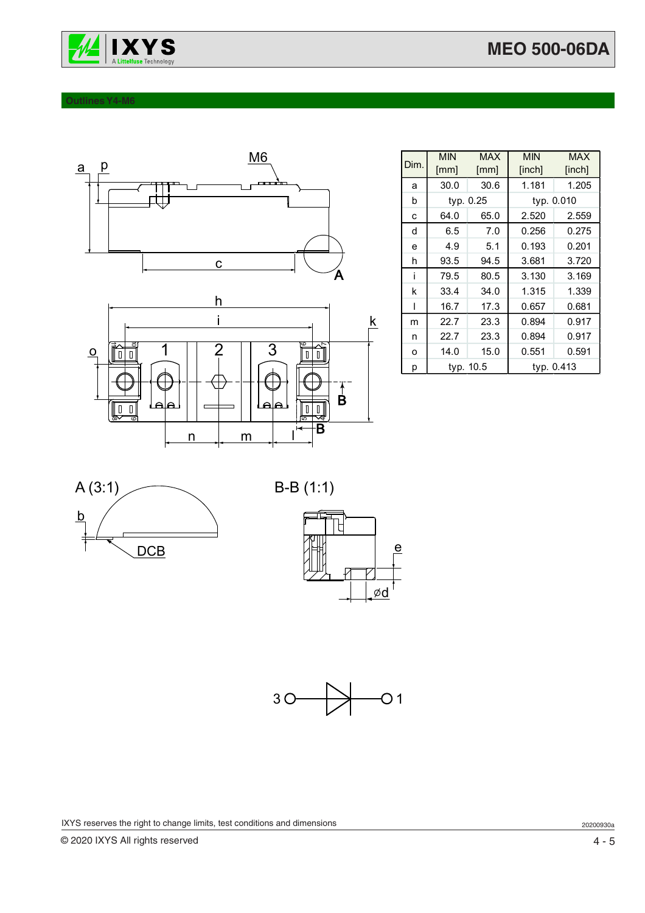

#### **Outlines Y4-M6**



| Dim. | <b>MIN</b><br>[mm] | <b>MAX</b><br>[mm] | <b>MIN</b><br>[inch] | <b>MAX</b><br>[inch] |
|------|--------------------|--------------------|----------------------|----------------------|
| a    | 30.0               | 30.6               | 1.181                | 1.205                |
| b    |                    | typ. 0.25          | typ. 0.010           |                      |
| C    | 64.0               | 65.0               | 2.520                | 2.559                |
| d    | 6.5                | 7.0                | 0.256                | 0.275                |
| e    | 4.9                | 5.1                | 0.193                | 0.201                |
| h    | 93.5               | 94.5               | 3.681                | 3.720                |
| j    | 79.5               | 80.5               | 3.130                | 3.169                |
| k    | 33.4               | 34.0               | 1.315                | 1.339                |
| ı    | 16.7               | 17.3               | 0.657                | 0.681                |
| m    | 22.7               | 23.3               | 0.894                | 0.917                |
| n    | 22.7               | 23.3               | 0.894                | 0.917                |
| O    | 14.0               | 15.0               | 0.551                | 0.591                |
| р    | typ. 10.5          |                    | typ. 0.413           |                      |









IXYS reserves the right to change limits, test conditions and dimensions